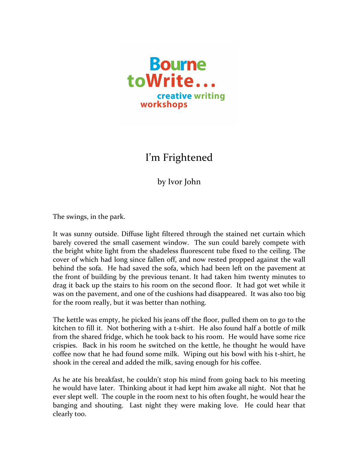

## I'm Frightened

by Ivor John

The swings, in the park.

It was sunny outside. Diffuse light filtered through the stained net curtain which barely covered the small casement window. The sun could barely compete with the bright white light from the shadeless fluorescent tube fixed to the ceiling. The cover of which had long since fallen off, and now rested propped against the wall behind the sofa. He had saved the sofa, which had been left on the pavement at the front of building by the previous tenant. It had taken him twenty minutes to drag it back up the stairs to his room on the second floor. It had got wet while it was on the pavement, and one of the cushions had disappeared. It was also too big for the room really, but it was better than nothing.

The kettle was empty, he picked his jeans off the floor, pulled them on to go to the kitchen to fill it. Not bothering with a t-shirt. He also found half a bottle of milk from the shared fridge, which he took back to his room. He would have some rice crispies. Back in his room he switched on the kettle, he thought he would have coffee now that he had found some milk. Wiping out his bowl with his t-shirt, he shook in the cereal and added the milk, saving enough for his coffee.

As he ate his breakfast, he couldn't stop his mind from going back to his meeting he would have later. Thinking about it had kept him awake all night. Not that he ever slept well. The couple in the room next to his often fought, he would hear the banging and shouting. Last night they were making love. He could hear that clearly too.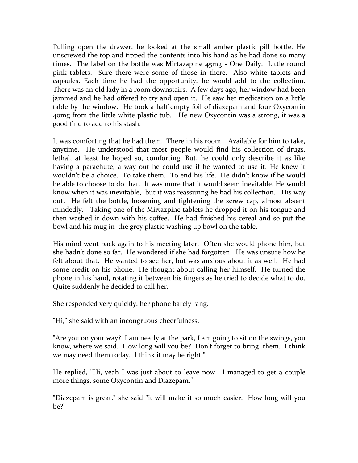Pulling open the drawer, he looked at the small amber plastic pill bottle. He unscrewed the top and tipped the contents into his hand as he had done so many times. The label on the bottle was Mirtazapine 45mg - One Daily. Little round pink tablets. Sure there were some of those in there. Also white tablets and capsules. Each time he had the opportunity, he would add to the collection. There was an old lady in a room downstairs. A few days ago, her window had been jammed and he had offered to try and open it. He saw her medication on a little table by the window. He took a half empty foil of diazepam and four Oxycontin 40mg from the little white plastic tub. He new Oxycontin was a strong, it was a good find to add to his stash.

It was comforting that he had them. There in his room. Available for him to take, anytime. He understood that most people would find his collection of drugs, lethal, at least he hoped so, comforting. But, he could only describe it as like having a parachute, a way out he could use if he wanted to use it. He knew it wouldn't be a choice. To take them. To end his life. He didn't know if he would be able to choose to do that. It was more that it would seem inevitable. He would know when it was inevitable, but it was reassuring he had his collection. His way out. He felt the bottle, loosening and tightening the screw cap, almost absent mindedly. Taking one of the Mirtazpine tablets he dropped it on his tongue and then washed it down with his coffee. He had finished his cereal and so put the bowl and his mug in the grey plastic washing up bowl on the table.

His mind went back again to his meeting later. Often she would phone him, but she hadn't done so far. He wondered if she had forgotten. He was unsure how he felt about that. He wanted to see her, but was anxious about it as well. He had some credit on his phone. He thought about calling her himself. He turned the phone in his hand, rotating it between his fingers as he tried to decide what to do. Quite suddenly he decided to call her.

She responded very quickly, her phone barely rang.

"Hi," she said with an incongruous cheerfulness.

"Are you on your way? I am nearly at the park, I am going to sit on the swings, you know, where we said. How long will you be? Don't forget to bring them. I think we may need them today, I think it may be right."

He replied, "Hi, yeah I was just about to leave now. I managed to get a couple more things, some Oxycontin and Diazepam."

"Diazepam is great." she said "it will make it so much easier. How long will you be?"